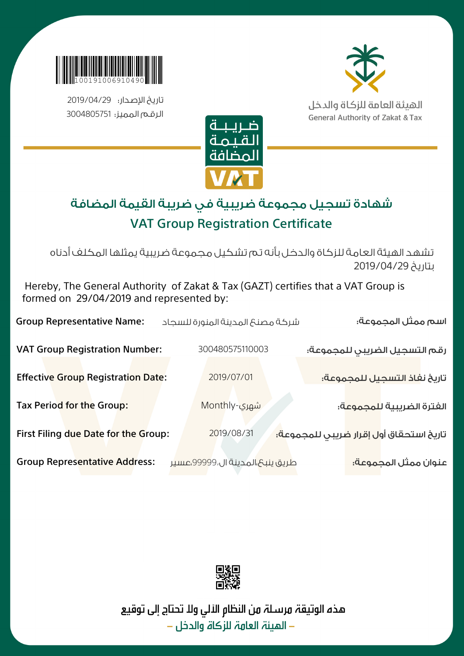

تاريخ الإصدار: 2019/04/29 الرقم المميز: 3004805751



الهيئة العامة للزكاة والدخل **General Authority of Zakat & Tax** 



## شهادة تسجيل مجموعة ضريبية في ضريبة القيمة المضافة VAT Group Registration Certificate

تشهد الهيئة العامة للزكاة والدخل بأنه تم تشكيل مجموعة ضريبية يمثلها المكلف أدناه بتاريخ 2019/04/29

 Hereby, The General Authority of Zakat & Tax (GAZT) certifies that a VAT Group is formed on 29/04/2019 and represented by:

| <b>Group Representative Name:</b>         | شركة مصنع المدينة المنورة للسجاد | اسم ممثل المجموعة:                                                   |
|-------------------------------------------|----------------------------------|----------------------------------------------------------------------|
| <b>VAT Group Registration Number:</b>     | 300480575110003                  | رقم التسجيل الضريبي للمجموعة:                                        |
| <b>Effective Group Registration Date:</b> | 2019/07/01                       | تاريخ نفاذ التسجيل للمجموعة؛                                         |
| Tax Period for the Group:                 | ِشمِرِی-Monthly                  | الفترة الضريبية للمجموعة:                                            |
| First Filing due Date for the Group:      | 2019/08/31                       | تاريخ استحقاق أو <mark>ل إقرار ض</mark> ريبى للمجموع <mark>ة:</mark> |
| <b>Group Representative Address:</b>      | طريق ينبع،المدينة ال،99999،عسير  | عنوان ممثل المجموعة:                                                 |



هذه الوتيقة مرسـلة من النظام الآلي ولا تحتاج إلى توقيع – المئنة العاهة للزكاة والدخل –